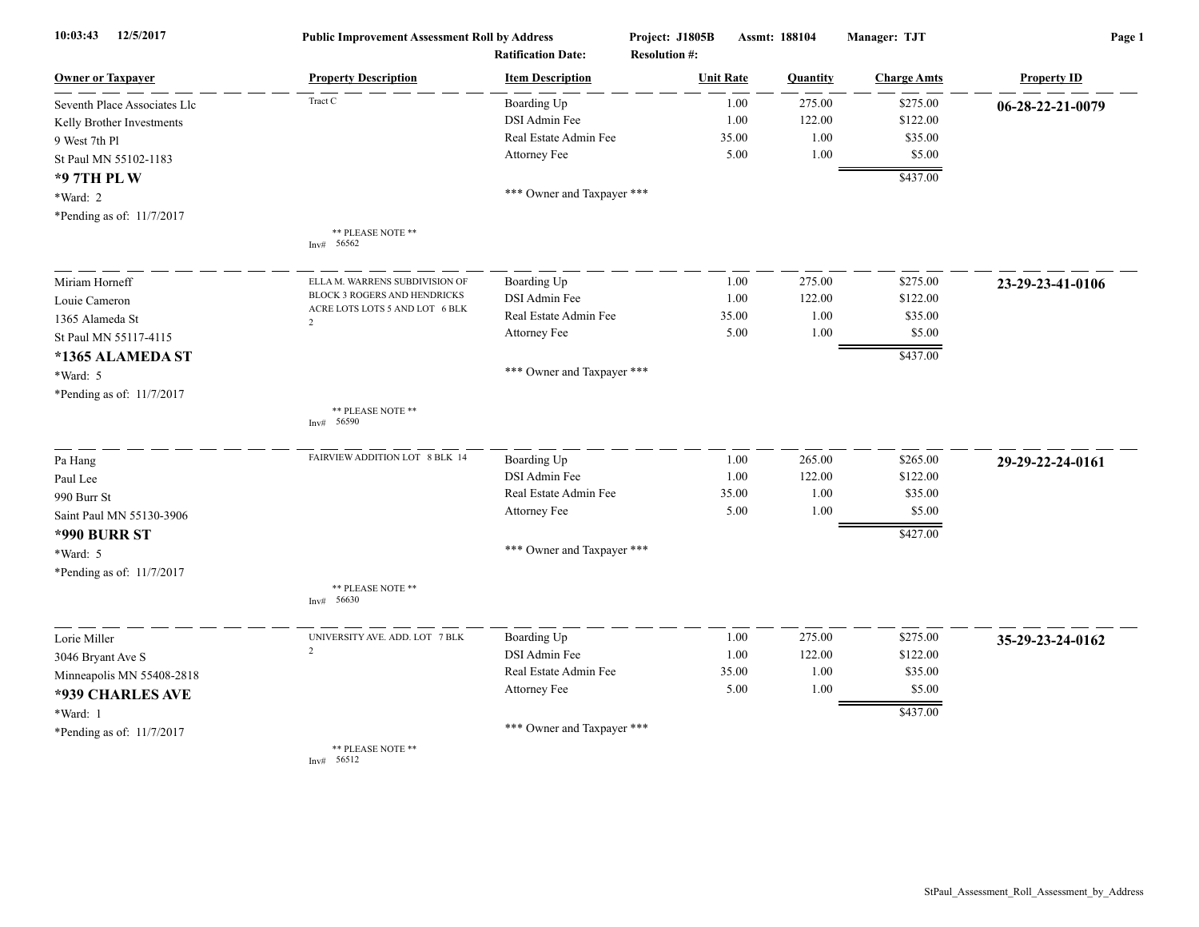| 12/5/2017<br>10:03:43        | <b>Public Improvement Assessment Roll by Address</b><br><b>Ratification Date:</b> |                            | Project: J1805B<br><b>Resolution #:</b> | Assmt: 188104 |          | Manager: TJT       | Page 1             |  |
|------------------------------|-----------------------------------------------------------------------------------|----------------------------|-----------------------------------------|---------------|----------|--------------------|--------------------|--|
| <b>Owner or Taxpayer</b>     | <b>Property Description</b>                                                       | <b>Item Description</b>    | <b>Unit Rate</b>                        |               | Quantity | <b>Charge Amts</b> | <b>Property ID</b> |  |
| Seventh Place Associates Llc | Tract C                                                                           | Boarding Up                |                                         | 1.00          | 275.00   | \$275.00           | 06-28-22-21-0079   |  |
| Kelly Brother Investments    |                                                                                   | DSI Admin Fee              |                                         | 1.00          | 122.00   | \$122.00           |                    |  |
| 9 West 7th Pl                |                                                                                   | Real Estate Admin Fee      | 35.00                                   |               | 1.00     | \$35.00            |                    |  |
| St Paul MN 55102-1183        |                                                                                   | Attorney Fee               |                                         | 5.00          | 1.00     | \$5.00             |                    |  |
| *97TH PLW                    |                                                                                   |                            |                                         |               |          | \$437.00           |                    |  |
| *Ward: 2                     |                                                                                   | *** Owner and Taxpayer *** |                                         |               |          |                    |                    |  |
| *Pending as of: 11/7/2017    |                                                                                   |                            |                                         |               |          |                    |                    |  |
|                              | ** PLEASE NOTE **                                                                 |                            |                                         |               |          |                    |                    |  |
|                              | 56562<br>Inv#                                                                     |                            |                                         |               |          |                    |                    |  |
| Miriam Horneff               | ELLA M. WARRENS SUBDIVISION OF                                                    | Boarding Up                |                                         | 1.00          | 275.00   | \$275.00           | 23-29-23-41-0106   |  |
| Louie Cameron                | BLOCK 3 ROGERS AND HENDRICKS                                                      | DSI Admin Fee              |                                         | 1.00          | 122.00   | \$122.00           |                    |  |
| 1365 Alameda St              | ACRE LOTS LOTS 5 AND LOT 6 BLK<br>$\overline{2}$                                  | Real Estate Admin Fee      | 35.00                                   |               | 1.00     | \$35.00            |                    |  |
| St Paul MN 55117-4115        |                                                                                   | Attorney Fee               |                                         | 5.00          | 1.00     | \$5.00             |                    |  |
| *1365 ALAMEDA ST             |                                                                                   |                            |                                         |               |          | \$437.00           |                    |  |
| *Ward: 5                     |                                                                                   | *** Owner and Taxpayer *** |                                         |               |          |                    |                    |  |
| *Pending as of: 11/7/2017    |                                                                                   |                            |                                         |               |          |                    |                    |  |
|                              | ** PLEASE NOTE **<br>56590<br>Inv#                                                |                            |                                         |               |          |                    |                    |  |
| Pa Hang                      | FAIRVIEW ADDITION LOT 8 BLK 14                                                    | Boarding Up                |                                         | 1.00          | 265.00   | \$265.00           | 29-29-22-24-0161   |  |
| Paul Lee                     |                                                                                   | DSI Admin Fee              |                                         | 1.00          | 122.00   | \$122.00           |                    |  |
| 990 Burr St                  |                                                                                   | Real Estate Admin Fee      | 35.00                                   |               | 1.00     | \$35.00            |                    |  |
| Saint Paul MN 55130-3906     |                                                                                   | Attorney Fee               |                                         | 5.00          | 1.00     | \$5.00             |                    |  |
| <b>*990 BURR ST</b>          |                                                                                   |                            |                                         |               |          | \$427.00           |                    |  |
| *Ward: 5                     |                                                                                   | *** Owner and Taxpayer *** |                                         |               |          |                    |                    |  |
| *Pending as of: 11/7/2017    |                                                                                   |                            |                                         |               |          |                    |                    |  |
|                              | ** PLEASE NOTE **<br>56630<br>Inv#                                                |                            |                                         |               |          |                    |                    |  |
| Lorie Miller                 | UNIVERSITY AVE. ADD. LOT 7 BLK                                                    | Boarding Up                |                                         | 1.00          | 275.00   | \$275.00           | 35-29-23-24-0162   |  |
| 3046 Bryant Ave S            | 2                                                                                 | DSI Admin Fee              |                                         | 1.00          | 122.00   | \$122.00           |                    |  |
| Minneapolis MN 55408-2818    |                                                                                   | Real Estate Admin Fee      | 35.00                                   |               | 1.00     | \$35.00            |                    |  |
| *939 CHARLES AVE             |                                                                                   | Attorney Fee               |                                         | 5.00          | 1.00     | \$5.00             |                    |  |
| *Ward: 1                     |                                                                                   |                            |                                         |               |          | \$437.00           |                    |  |
| *Pending as of: 11/7/2017    |                                                                                   | *** Owner and Taxpayer *** |                                         |               |          |                    |                    |  |
|                              | ** PLEASE NOTE **<br>56512<br>Inv#                                                |                            |                                         |               |          |                    |                    |  |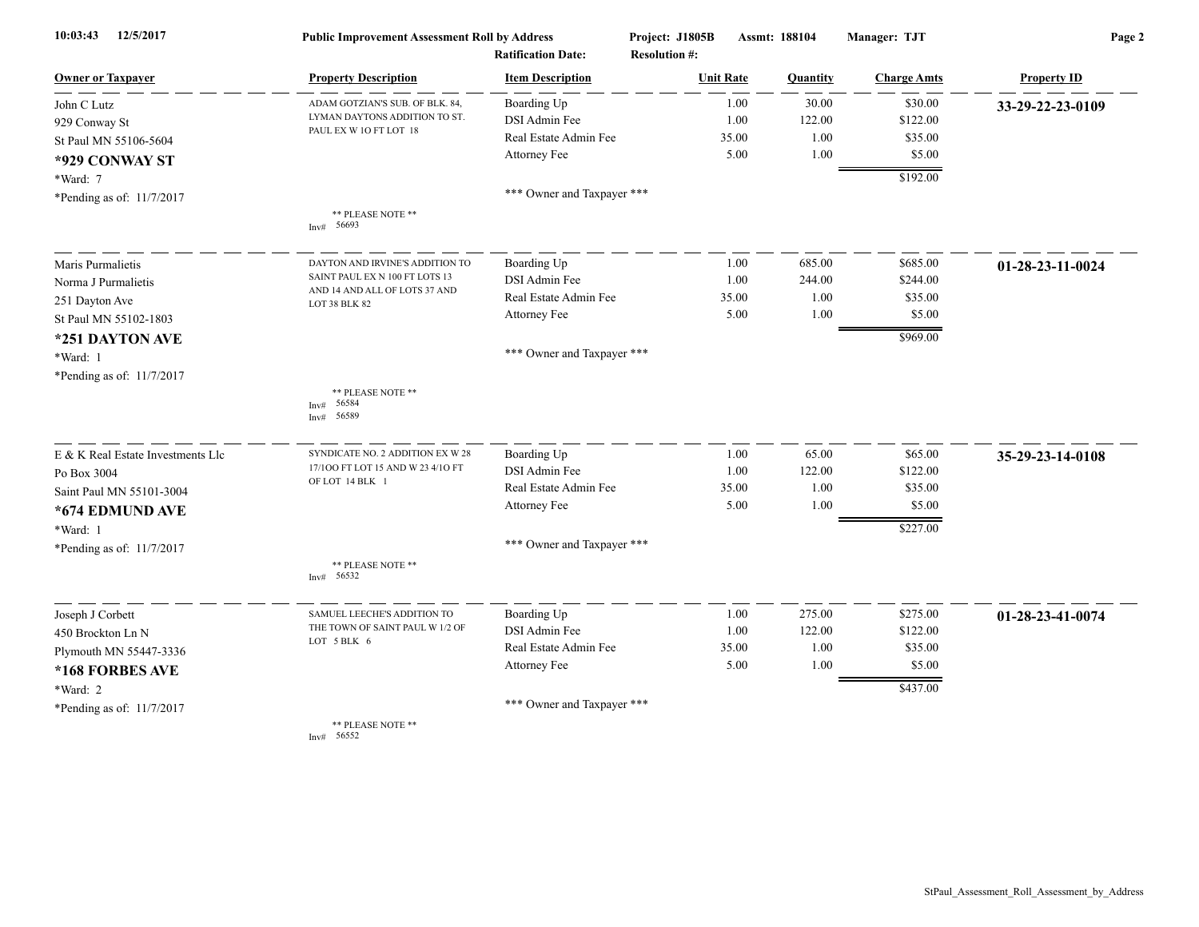| 12/5/2017<br>10:03:43             | <b>Public Improvement Assessment Roll by Address</b><br><b>Ratification Date:</b> |                            | Project: J1805B<br>Assmt: 188104<br><b>Resolution #:</b> |                 | Manager: TJT       | Page 2             |  |
|-----------------------------------|-----------------------------------------------------------------------------------|----------------------------|----------------------------------------------------------|-----------------|--------------------|--------------------|--|
| <b>Owner or Taxpayer</b>          | <b>Property Description</b>                                                       | <b>Item Description</b>    | <b>Unit Rate</b>                                         | <b>Quantity</b> | <b>Charge Amts</b> | <b>Property ID</b> |  |
| John C Lutz                       | ADAM GOTZIAN'S SUB. OF BLK. 84,                                                   | Boarding Up                | 1.00                                                     | 30.00           | \$30.00            | 33-29-22-23-0109   |  |
| 929 Conway St                     | LYMAN DAYTONS ADDITION TO ST.                                                     | DSI Admin Fee              | 1.00                                                     | 122.00          | \$122.00           |                    |  |
| St Paul MN 55106-5604             | PAUL EX W 1O FT LOT 18                                                            | Real Estate Admin Fee      | 35.00                                                    | 1.00            | \$35.00            |                    |  |
| *929 CONWAY ST                    |                                                                                   | Attorney Fee               | 5.00                                                     | 1.00            | \$5.00             |                    |  |
| *Ward: 7                          |                                                                                   |                            |                                                          |                 | \$192.00           |                    |  |
| *Pending as of: 11/7/2017         |                                                                                   | *** Owner and Taxpayer *** |                                                          |                 |                    |                    |  |
|                                   | ** PLEASE NOTE **<br>56693<br>Inv#                                                |                            |                                                          |                 |                    |                    |  |
| Maris Purmalietis                 | DAYTON AND IRVINE'S ADDITION TO                                                   | Boarding Up                | 1.00                                                     | 685.00          | \$685.00           | 01-28-23-11-0024   |  |
| Norma J Purmalietis               | SAINT PAUL EX N 100 FT LOTS 13                                                    | DSI Admin Fee              | 1.00                                                     | 244.00          | \$244.00           |                    |  |
| 251 Dayton Ave                    | AND 14 AND ALL OF LOTS 37 AND<br>LOT 38 BLK 82                                    | Real Estate Admin Fee      | 35.00                                                    | 1.00            | \$35.00            |                    |  |
| St Paul MN 55102-1803             |                                                                                   | Attorney Fee               | 5.00                                                     | 1.00            | \$5.00             |                    |  |
| *251 DAYTON AVE                   |                                                                                   |                            |                                                          |                 | \$969.00           |                    |  |
| *Ward: 1                          |                                                                                   | *** Owner and Taxpayer *** |                                                          |                 |                    |                    |  |
| *Pending as of: 11/7/2017         |                                                                                   |                            |                                                          |                 |                    |                    |  |
|                                   | ** PLEASE NOTE **<br>56584<br>Inv#<br>56589<br>Inv#                               |                            |                                                          |                 |                    |                    |  |
| E & K Real Estate Investments Llc | SYNDICATE NO. 2 ADDITION EX W 28                                                  | Boarding Up                | 1.00                                                     | 65.00           | \$65.00            | 35-29-23-14-0108   |  |
| Po Box 3004                       | 17/100 FT LOT 15 AND W 23 4/10 FT                                                 | DSI Admin Fee              | 1.00                                                     | 122.00          | \$122.00           |                    |  |
| Saint Paul MN 55101-3004          | OF LOT 14 BLK 1                                                                   | Real Estate Admin Fee      | 35.00                                                    | 1.00            | \$35.00            |                    |  |
| *674 EDMUND AVE                   |                                                                                   | Attorney Fee               | 5.00                                                     | 1.00            | \$5.00             |                    |  |
| *Ward: 1                          |                                                                                   |                            |                                                          |                 | \$227.00           |                    |  |
| *Pending as of: 11/7/2017         |                                                                                   | *** Owner and Taxpayer *** |                                                          |                 |                    |                    |  |
|                                   | ** PLEASE NOTE **<br>Inv# 56532                                                   |                            |                                                          |                 |                    |                    |  |
| Joseph J Corbett                  | SAMUEL LEECHE'S ADDITION TO                                                       | Boarding Up                | 1.00                                                     | 275.00          | \$275.00           | 01-28-23-41-0074   |  |
| 450 Brockton Ln N                 | THE TOWN OF SAINT PAUL W 1/2 OF                                                   | DSI Admin Fee              | 1.00                                                     | 122.00          | \$122.00           |                    |  |
| Plymouth MN 55447-3336            | LOT 5 BLK 6                                                                       | Real Estate Admin Fee      | 35.00                                                    | 1.00            | \$35.00            |                    |  |
| *168 FORBES AVE                   |                                                                                   | Attorney Fee               | 5.00                                                     | 1.00            | \$5.00             |                    |  |
| *Ward: 2                          |                                                                                   |                            |                                                          |                 | \$437.00           |                    |  |
| *Pending as of: 11/7/2017         |                                                                                   | *** Owner and Taxpayer *** |                                                          |                 |                    |                    |  |
|                                   | ** PLEASE NOTE **<br>Inv# 56552                                                   |                            |                                                          |                 |                    |                    |  |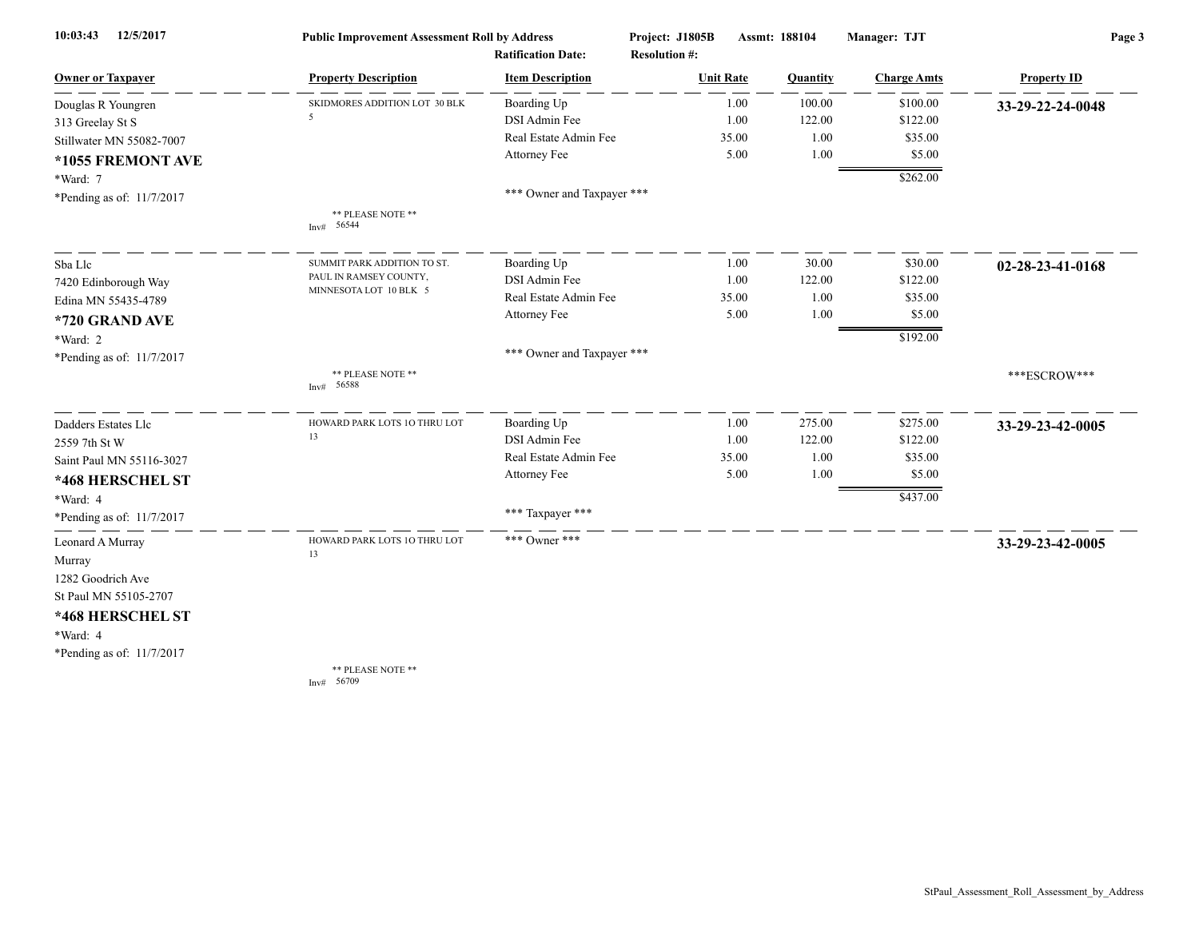| 12/5/2017<br>10:03:43     | <b>Public Improvement Assessment Roll by Address</b> |                            | Project: J1805B      | Assmt: 188104 | Manager: TJT       | Page 3             |  |
|---------------------------|------------------------------------------------------|----------------------------|----------------------|---------------|--------------------|--------------------|--|
|                           |                                                      | <b>Ratification Date:</b>  | <b>Resolution #:</b> |               |                    |                    |  |
| <b>Owner or Taxpayer</b>  | <b>Property Description</b>                          | <b>Item Description</b>    | <b>Unit Rate</b>     | Quantity      | <b>Charge Amts</b> | <b>Property ID</b> |  |
| Douglas R Youngren        | SKIDMORES ADDITION LOT 30 BLK                        | Boarding Up                | 1.00                 | 100.00        | \$100.00           | 33-29-22-24-0048   |  |
| 313 Greelay St S          | 5                                                    | DSI Admin Fee              | 1.00                 | 122.00        | \$122.00           |                    |  |
| Stillwater MN 55082-7007  |                                                      | Real Estate Admin Fee      | 35.00                |               | 1.00<br>\$35.00    |                    |  |
| *1055 FREMONT AVE         |                                                      | Attorney Fee               | 5.00                 |               | 1.00<br>\$5.00     |                    |  |
| *Ward: 7                  |                                                      |                            |                      |               | \$262.00           |                    |  |
| *Pending as of: 11/7/2017 |                                                      | *** Owner and Taxpayer *** |                      |               |                    |                    |  |
|                           | ** PLEASE NOTE **<br>Inv# 56544                      |                            |                      |               |                    |                    |  |
| Sba Llc                   | SUMMIT PARK ADDITION TO ST.                          | Boarding Up                | 1.00                 | 30.00         | \$30.00            | 02-28-23-41-0168   |  |
| 7420 Edinborough Way      | PAUL IN RAMSEY COUNTY,                               | DSI Admin Fee              | 1.00                 | 122.00        | \$122.00           |                    |  |
| Edina MN 55435-4789       | MINNESOTA LOT 10 BLK 5                               | Real Estate Admin Fee      | 35.00                |               | 1.00<br>\$35.00    |                    |  |
| *720 GRAND AVE            |                                                      | Attorney Fee               | 5.00                 |               | \$5.00<br>1.00     |                    |  |
| *Ward: 2                  |                                                      |                            |                      |               | \$192.00           |                    |  |
| *Pending as of: 11/7/2017 |                                                      | *** Owner and Taxpayer *** |                      |               |                    |                    |  |
|                           | ** PLEASE NOTE **<br>56588<br>Inv#                   |                            |                      |               |                    | ***ESCROW***       |  |
| Dadders Estates Llc       | HOWARD PARK LOTS 10 THRU LOT                         | Boarding Up                | 1.00                 | 275.00        | \$275.00           | 33-29-23-42-0005   |  |
| 2559 7th St W             | 13                                                   | DSI Admin Fee              | 1.00                 | 122.00        | \$122.00           |                    |  |
| Saint Paul MN 55116-3027  |                                                      | Real Estate Admin Fee      | 35.00                |               | 1.00<br>\$35.00    |                    |  |
| *468 HERSCHEL ST          |                                                      | Attorney Fee               | 5.00                 |               | \$5.00<br>1.00     |                    |  |
| *Ward: 4                  |                                                      |                            |                      |               | \$437.00           |                    |  |
| *Pending as of: 11/7/2017 |                                                      | *** Taxpayer ***           |                      |               |                    |                    |  |
| Leonard A Murray          | HOWARD PARK LOTS 1O THRU LOT                         | *** Owner ***              |                      |               |                    | 33-29-23-42-0005   |  |
| Murray                    | 13                                                   |                            |                      |               |                    |                    |  |
| 1282 Goodrich Ave         |                                                      |                            |                      |               |                    |                    |  |
| St Paul MN 55105-2707     |                                                      |                            |                      |               |                    |                    |  |
| *468 HERSCHEL ST          |                                                      |                            |                      |               |                    |                    |  |
| *Ward: 4                  |                                                      |                            |                      |               |                    |                    |  |
| *Pending as of: 11/7/2017 |                                                      |                            |                      |               |                    |                    |  |
|                           | ** PLEASE NOTE **<br>Inv# $56709$                    |                            |                      |               |                    |                    |  |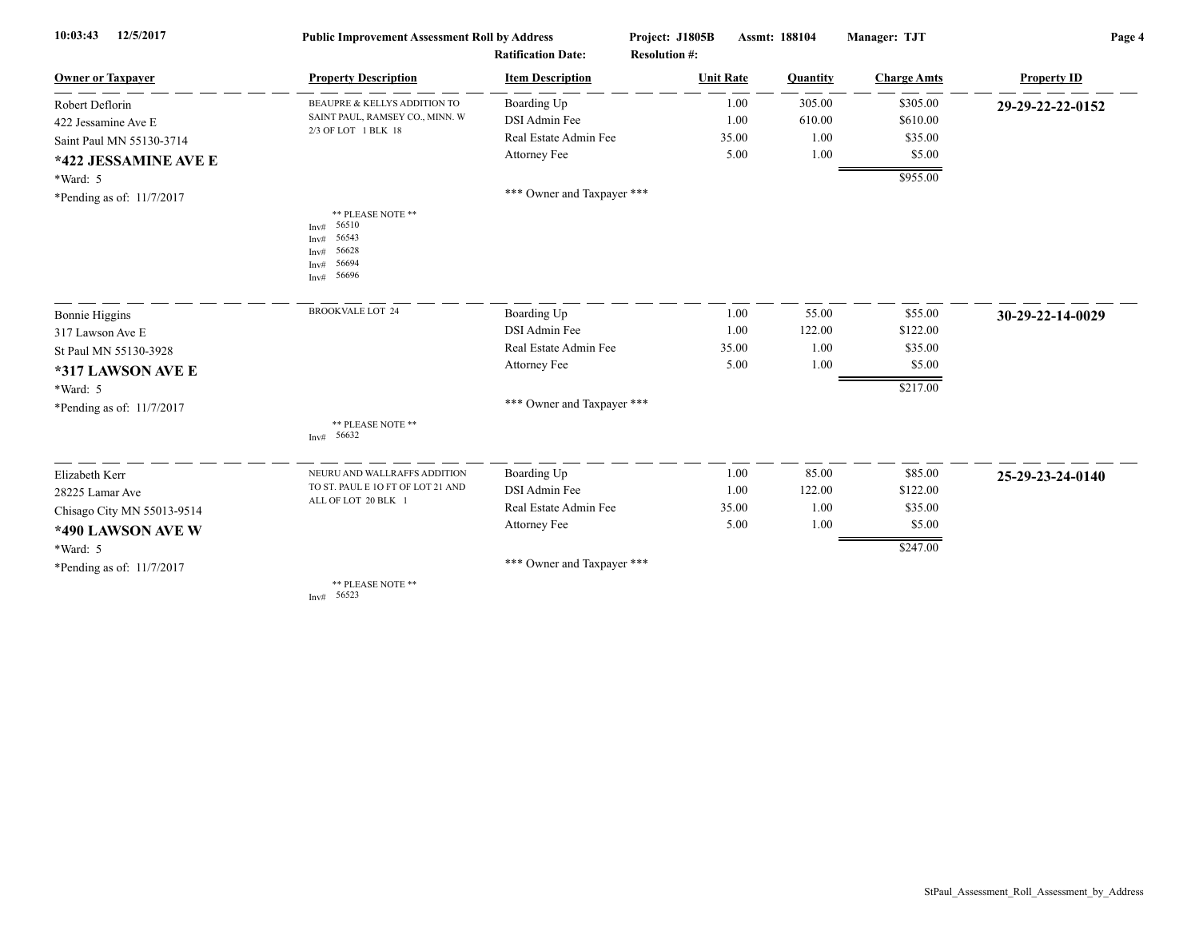| 12/5/2017<br>10:03:43      | <b>Public Improvement Assessment Roll by Address</b>                           |                            | Project: J1805B<br>Assmt: 188104 |          | Manager: TJT       | Page 4             |  |
|----------------------------|--------------------------------------------------------------------------------|----------------------------|----------------------------------|----------|--------------------|--------------------|--|
|                            |                                                                                | <b>Ratification Date:</b>  | <b>Resolution #:</b>             |          |                    |                    |  |
| <b>Owner or Taxpayer</b>   | <b>Property Description</b>                                                    | <b>Item Description</b>    | <b>Unit Rate</b>                 | Quantity | <b>Charge Amts</b> | <b>Property ID</b> |  |
| Robert Deflorin            | <b>BEAUPRE &amp; KELLYS ADDITION TO</b>                                        | Boarding Up                | 1.00                             | 305.00   | \$305.00           | 29-29-22-22-0152   |  |
| 422 Jessamine Ave E        | SAINT PAUL, RAMSEY CO., MINN. W<br>2/3 OF LOT 1 BLK 18                         | DSI Admin Fee              | 1.00                             | 610.00   | \$610.00           |                    |  |
| Saint Paul MN 55130-3714   |                                                                                | Real Estate Admin Fee      | 35.00                            | 1.00     | \$35.00            |                    |  |
| *422 JESSAMINE AVE E       |                                                                                | Attorney Fee               | 5.00                             | 1.00     | \$5.00             |                    |  |
| *Ward: 5                   |                                                                                |                            |                                  |          | \$955.00           |                    |  |
| *Pending as of: 11/7/2017  |                                                                                | *** Owner and Taxpayer *** |                                  |          |                    |                    |  |
|                            | ** PLEASE NOTE **<br>56510<br>Inv#<br>56543<br>56628<br>56694<br>56696<br>Inv# |                            |                                  |          |                    |                    |  |
| Bonnie Higgins             | <b>BROOKVALE LOT 24</b>                                                        | Boarding Up                | 1.00                             | 55.00    | \$55.00            | 30-29-22-14-0029   |  |
| 317 Lawson Ave E           |                                                                                | DSI Admin Fee              | 1.00                             | 122.00   | \$122.00           |                    |  |
| St Paul MN 55130-3928      |                                                                                | Real Estate Admin Fee      | 35.00                            | 1.00     | \$35.00            |                    |  |
| *317 LAWSON AVE E          |                                                                                | Attorney Fee               | 5.00                             | 1.00     | \$5.00             |                    |  |
| *Ward: 5                   |                                                                                |                            |                                  |          | \$217.00           |                    |  |
| *Pending as of: 11/7/2017  |                                                                                | *** Owner and Taxpayer *** |                                  |          |                    |                    |  |
|                            | ** PLEASE NOTE **<br>Inv# 56632                                                |                            |                                  |          |                    |                    |  |
| Elizabeth Kerr             | NEURU AND WALLRAFFS ADDITION                                                   | Boarding Up                | 1.00                             | 85.00    | \$85.00            | 25-29-23-24-0140   |  |
| 28225 Lamar Ave            | TO ST. PAUL E 10 FT OF LOT 21 AND                                              | DSI Admin Fee              | 1.00                             | 122.00   | \$122.00           |                    |  |
| Chisago City MN 55013-9514 | ALL OF LOT 20 BLK 1                                                            | Real Estate Admin Fee      | 35.00                            | 1.00     | \$35.00            |                    |  |
| *490 LAWSON AVE W          |                                                                                | Attorney Fee               | 5.00                             | 1.00     | \$5.00             |                    |  |
| *Ward: 5                   |                                                                                |                            |                                  |          | \$247.00           |                    |  |
| *Pending as of: 11/7/2017  |                                                                                | *** Owner and Taxpayer *** |                                  |          |                    |                    |  |
|                            | ** PLEASE NOTE **<br>56523<br>Inv#                                             |                            |                                  |          |                    |                    |  |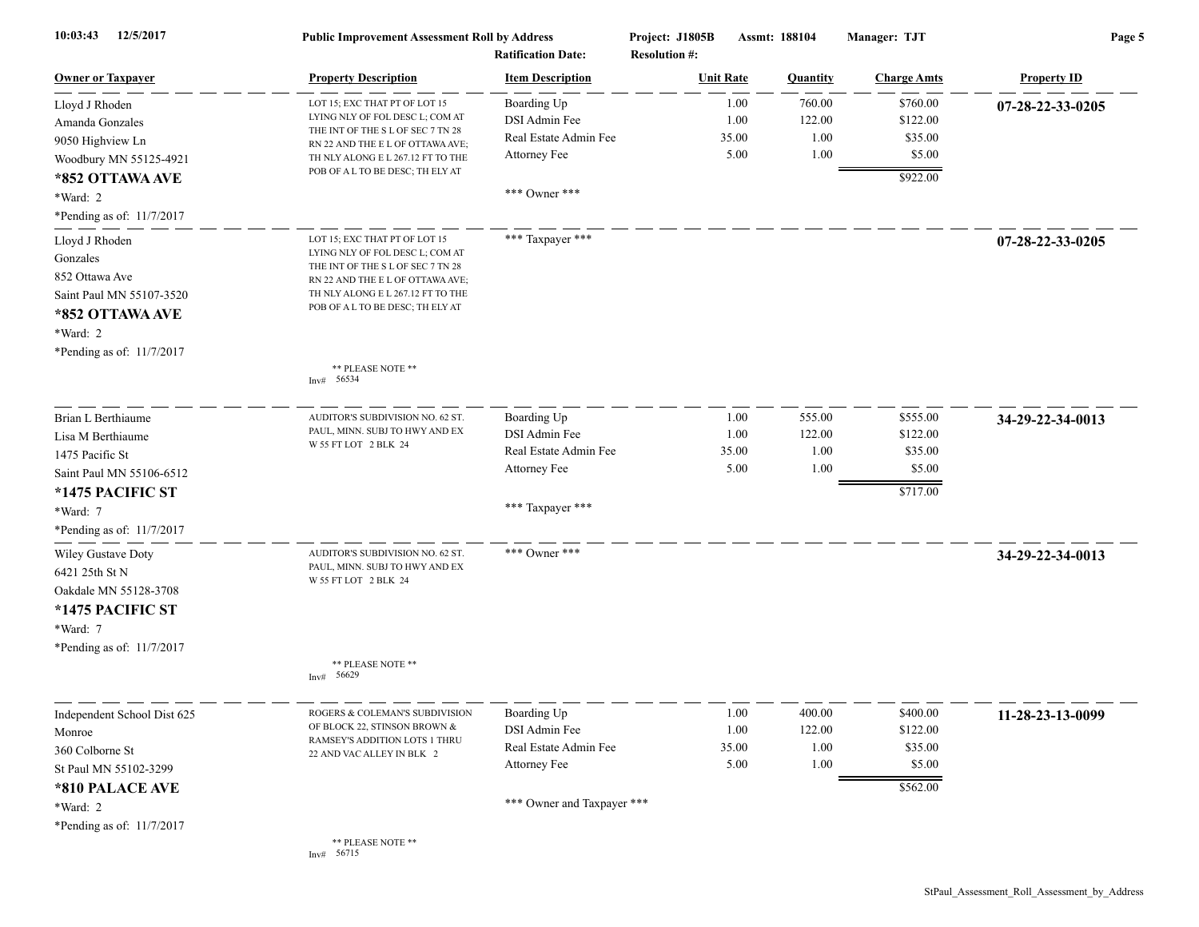| 12/5/2017<br>10:03:43       | <b>Public Improvement Assessment Roll by Address</b><br><b>Ratification Date:</b> |                            | Assmt: 188104<br>Project: J1805B<br><b>Resolution #:</b> |                  |                 | Manager: TJT       | Page 5             |  |
|-----------------------------|-----------------------------------------------------------------------------------|----------------------------|----------------------------------------------------------|------------------|-----------------|--------------------|--------------------|--|
| <b>Owner or Taxpayer</b>    | <b>Property Description</b>                                                       | <b>Item Description</b>    |                                                          | <b>Unit Rate</b> | <b>Quantity</b> | <b>Charge Amts</b> | <b>Property ID</b> |  |
| Lloyd J Rhoden              | LOT 15; EXC THAT PT OF LOT 15                                                     | Boarding Up                |                                                          | 1.00             | 760.00          | \$760.00           | 07-28-22-33-0205   |  |
| Amanda Gonzales             | LYING NLY OF FOL DESC L; COM AT                                                   | DSI Admin Fee              |                                                          | 1.00             | 122.00          | \$122.00           |                    |  |
| 9050 Highview Ln            | THE INT OF THE S L OF SEC 7 TN 28<br>RN 22 AND THE E L OF OTTAWA AVE;             | Real Estate Admin Fee      |                                                          | 35.00            | 1.00            | \$35.00            |                    |  |
| Woodbury MN 55125-4921      | TH NLY ALONG E L 267.12 FT TO THE                                                 | Attorney Fee               |                                                          | 5.00             | 1.00            | \$5.00             |                    |  |
| *852 OTTAWA AVE             | POB OF A L TO BE DESC; TH ELY AT                                                  |                            |                                                          |                  |                 | \$922.00           |                    |  |
| *Ward: 2                    |                                                                                   | *** Owner ***              |                                                          |                  |                 |                    |                    |  |
| *Pending as of: 11/7/2017   |                                                                                   |                            |                                                          |                  |                 |                    |                    |  |
| Lloyd J Rhoden              | LOT 15; EXC THAT PT OF LOT 15                                                     | *** Taxpayer ***           |                                                          |                  |                 |                    | 07-28-22-33-0205   |  |
| Gonzales                    | LYING NLY OF FOL DESC L; COM AT<br>THE INT OF THE S L OF SEC 7 TN 28              |                            |                                                          |                  |                 |                    |                    |  |
| 852 Ottawa Ave              | RN 22 AND THE E L OF OTTAWA AVE;                                                  |                            |                                                          |                  |                 |                    |                    |  |
| Saint Paul MN 55107-3520    | TH NLY ALONG E L 267.12 FT TO THE                                                 |                            |                                                          |                  |                 |                    |                    |  |
| *852 OTTAWA AVE             | POB OF A L TO BE DESC; TH ELY AT                                                  |                            |                                                          |                  |                 |                    |                    |  |
| *Ward: 2                    |                                                                                   |                            |                                                          |                  |                 |                    |                    |  |
| *Pending as of: 11/7/2017   |                                                                                   |                            |                                                          |                  |                 |                    |                    |  |
|                             | ** PLEASE NOTE **<br>56534<br>Inv#                                                |                            |                                                          |                  |                 |                    |                    |  |
| Brian L Berthiaume          | AUDITOR'S SUBDIVISION NO. 62 ST.                                                  | Boarding Up                |                                                          | 1.00             | 555.00          | \$555.00           | 34-29-22-34-0013   |  |
| Lisa M Berthiaume           | PAUL, MINN. SUBJ TO HWY AND EX                                                    | DSI Admin Fee              |                                                          | 1.00             | 122.00          | \$122.00           |                    |  |
| 1475 Pacific St             | W 55 FT LOT 2 BLK 24                                                              | Real Estate Admin Fee      |                                                          | 35.00            | 1.00            | \$35.00            |                    |  |
| Saint Paul MN 55106-6512    |                                                                                   | Attorney Fee               |                                                          | 5.00             | 1.00            | \$5.00             |                    |  |
| *1475 PACIFIC ST            |                                                                                   |                            |                                                          |                  |                 | \$717.00           |                    |  |
| *Ward: 7                    |                                                                                   | *** Taxpayer ***           |                                                          |                  |                 |                    |                    |  |
| *Pending as of: 11/7/2017   |                                                                                   |                            |                                                          |                  |                 |                    |                    |  |
| Wiley Gustave Doty          | AUDITOR'S SUBDIVISION NO. 62 ST.                                                  | *** Owner ***              |                                                          |                  |                 |                    | 34-29-22-34-0013   |  |
| 6421 25th St N              | PAUL, MINN. SUBJ TO HWY AND EX                                                    |                            |                                                          |                  |                 |                    |                    |  |
| Oakdale MN 55128-3708       | W 55 FT LOT 2 BLK 24                                                              |                            |                                                          |                  |                 |                    |                    |  |
| *1475 PACIFIC ST            |                                                                                   |                            |                                                          |                  |                 |                    |                    |  |
| *Ward: 7                    |                                                                                   |                            |                                                          |                  |                 |                    |                    |  |
| *Pending as of: 11/7/2017   |                                                                                   |                            |                                                          |                  |                 |                    |                    |  |
|                             | ** PLEASE NOTE **<br>Inv# 56629                                                   |                            |                                                          |                  |                 |                    |                    |  |
| Independent School Dist 625 | ROGERS & COLEMAN'S SUBDIVISION                                                    | Boarding Up                |                                                          | 1.00             | 400.00          | \$400.00           | 11-28-23-13-0099   |  |
| Monroe                      | OF BLOCK 22, STINSON BROWN &                                                      | DSI Admin Fee              |                                                          | 1.00             | 122.00          | \$122.00           |                    |  |
| 360 Colborne St             | RAMSEY'S ADDITION LOTS 1 THRU<br>22 AND VAC ALLEY IN BLK 2                        | Real Estate Admin Fee      |                                                          | 35.00            | 1.00            | \$35.00            |                    |  |
| St Paul MN 55102-3299       |                                                                                   | Attorney Fee               |                                                          | 5.00             | 1.00            | \$5.00             |                    |  |
| *810 PALACE AVE             |                                                                                   |                            |                                                          |                  |                 | \$562.00           |                    |  |
| *Ward: 2                    |                                                                                   | *** Owner and Taxpayer *** |                                                          |                  |                 |                    |                    |  |
| *Pending as of: 11/7/2017   |                                                                                   |                            |                                                          |                  |                 |                    |                    |  |
|                             | ** PLEASE NOTE **<br>Inv# 56715                                                   |                            |                                                          |                  |                 |                    |                    |  |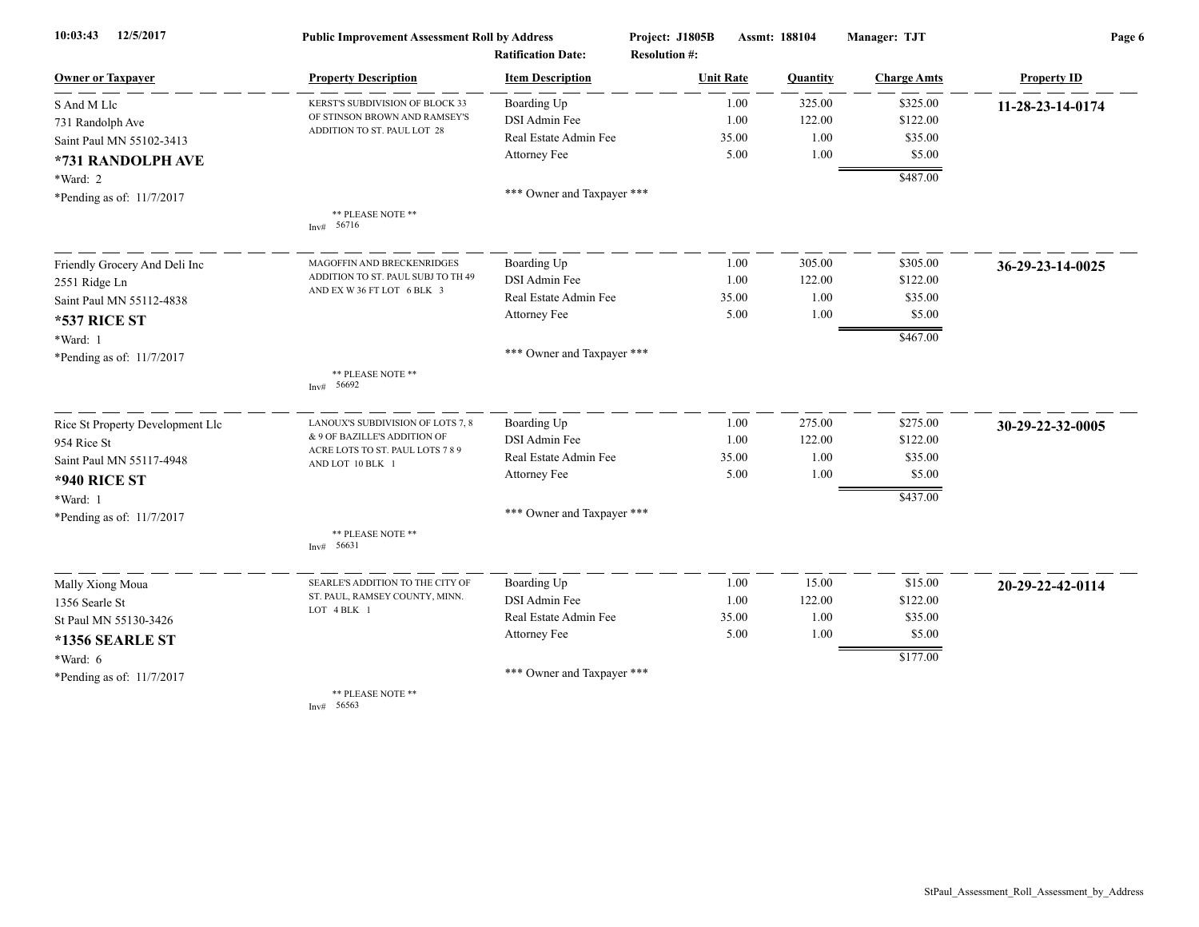| 12/5/2017<br>10:03:43            | <b>Public Improvement Assessment Roll by Address</b><br><b>Ratification Date:</b> |                            | Project: J1805B      | Assmt: 188104 |          | Manager: TJT       | Page 6             |  |
|----------------------------------|-----------------------------------------------------------------------------------|----------------------------|----------------------|---------------|----------|--------------------|--------------------|--|
|                                  |                                                                                   |                            | <b>Resolution #:</b> |               |          |                    |                    |  |
| <b>Owner or Taxpayer</b>         | <b>Property Description</b>                                                       | <b>Item Description</b>    | <b>Unit Rate</b>     |               | Quantity | <b>Charge Amts</b> | <b>Property ID</b> |  |
| S And M Llc                      | KERST'S SUBDIVISION OF BLOCK 33                                                   | Boarding Up                |                      | 1.00          | 325.00   | \$325.00           | 11-28-23-14-0174   |  |
| 731 Randolph Ave                 | OF STINSON BROWN AND RAMSEY'S                                                     | DSI Admin Fee              |                      | 1.00          | 122.00   | \$122.00           |                    |  |
| Saint Paul MN 55102-3413         | ADDITION TO ST. PAUL LOT 28                                                       | Real Estate Admin Fee      |                      | 35.00         | 1.00     | \$35.00            |                    |  |
| *731 RANDOLPH AVE                |                                                                                   | Attorney Fee               |                      | 5.00          | 1.00     | \$5.00             |                    |  |
| *Ward: 2                         |                                                                                   |                            |                      |               |          | \$487.00           |                    |  |
| *Pending as of: 11/7/2017        |                                                                                   | *** Owner and Taxpayer *** |                      |               |          |                    |                    |  |
|                                  | ** PLEASE NOTE **<br>Inv# $56716$                                                 |                            |                      |               |          |                    |                    |  |
| Friendly Grocery And Deli Inc    | MAGOFFIN AND BRECKENRIDGES                                                        | Boarding Up                |                      | 1.00          | 305.00   | \$305.00           | 36-29-23-14-0025   |  |
| 2551 Ridge Ln                    | ADDITION TO ST. PAUL SUBJ TO TH 49                                                | DSI Admin Fee              |                      | 1.00          | 122.00   | \$122.00           |                    |  |
| Saint Paul MN 55112-4838         | AND EX W 36 FT LOT 6 BLK 3                                                        | Real Estate Admin Fee      |                      | 35.00         | 1.00     | \$35.00            |                    |  |
| <b>*537 RICE ST</b>              |                                                                                   | Attorney Fee               |                      | 5.00          | 1.00     | \$5.00             |                    |  |
| *Ward: 1                         |                                                                                   |                            |                      |               |          | \$467.00           |                    |  |
| *Pending as of: 11/7/2017        |                                                                                   | *** Owner and Taxpayer *** |                      |               |          |                    |                    |  |
|                                  | ** PLEASE NOTE **<br>Inv# 56692                                                   |                            |                      |               |          |                    |                    |  |
| Rice St Property Development Llc | LANOUX'S SUBDIVISION OF LOTS 7, 8                                                 | Boarding Up                |                      | 1.00          | 275.00   | \$275.00           | 30-29-22-32-0005   |  |
| 954 Rice St                      | & 9 OF BAZILLE'S ADDITION OF                                                      | DSI Admin Fee              |                      | 1.00          | 122.00   | \$122.00           |                    |  |
| Saint Paul MN 55117-4948         | ACRE LOTS TO ST. PAUL LOTS 7 8 9<br>AND LOT 10 BLK 1                              | Real Estate Admin Fee      |                      | 35.00         | 1.00     | \$35.00            |                    |  |
| <b>*940 RICE ST</b>              |                                                                                   | Attorney Fee               |                      | 5.00          | 1.00     | \$5.00             |                    |  |
| *Ward: 1                         |                                                                                   |                            |                      |               |          | \$437.00           |                    |  |
| *Pending as of: 11/7/2017        |                                                                                   | *** Owner and Taxpayer *** |                      |               |          |                    |                    |  |
|                                  | ** PLEASE NOTE **<br>Inv# 56631                                                   |                            |                      |               |          |                    |                    |  |
| Mally Xiong Moua                 | SEARLE'S ADDITION TO THE CITY OF                                                  | Boarding Up                |                      | 1.00          | 15.00    | \$15.00            | 20-29-22-42-0114   |  |
| 1356 Searle St                   | ST. PAUL, RAMSEY COUNTY, MINN.                                                    | DSI Admin Fee              |                      | 1.00          | 122.00   | \$122.00           |                    |  |
| St Paul MN 55130-3426            | LOT 4 BLK 1                                                                       | Real Estate Admin Fee      |                      | 35.00         | 1.00     | \$35.00            |                    |  |
| <b>*1356 SEARLE ST</b>           |                                                                                   | Attorney Fee               |                      | 5.00          | 1.00     | \$5.00             |                    |  |
| *Ward: 6                         |                                                                                   |                            |                      |               |          | \$177.00           |                    |  |
| *Pending as of: 11/7/2017        |                                                                                   | *** Owner and Taxpayer *** |                      |               |          |                    |                    |  |
|                                  | ** PLEASE NOTE **                                                                 |                            |                      |               |          |                    |                    |  |

Inv# 56563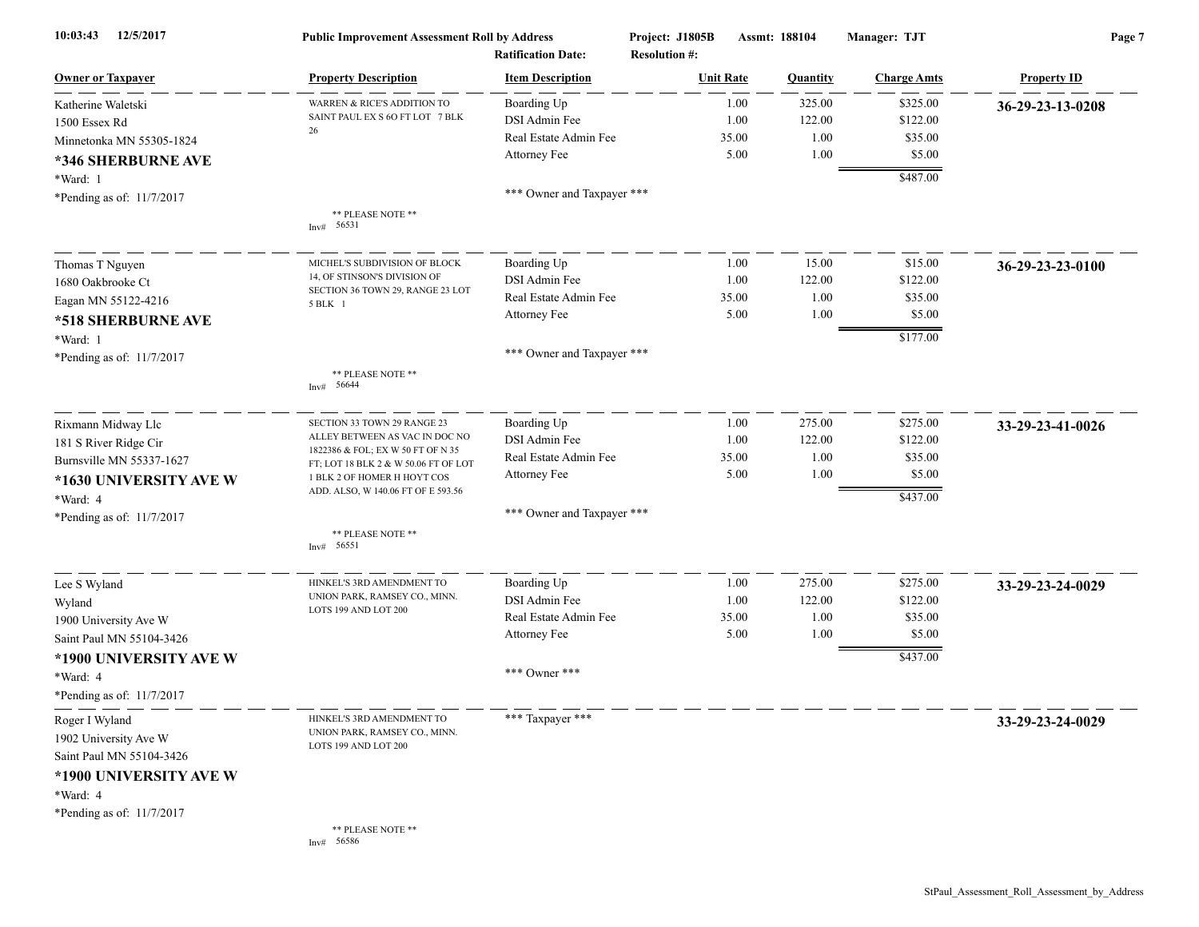| 12/5/2017<br>10:03:43     | <b>Public Improvement Assessment Roll by Address</b><br><b>Ratification Date:</b> |                            | Project: J1805B<br>Assmt: 188104<br><b>Resolution #:</b> |                  |                 | Manager: TJT       | Page 7             |  |
|---------------------------|-----------------------------------------------------------------------------------|----------------------------|----------------------------------------------------------|------------------|-----------------|--------------------|--------------------|--|
| <b>Owner or Taxpayer</b>  | <b>Property Description</b>                                                       | <b>Item Description</b>    |                                                          | <b>Unit Rate</b> | <b>Quantity</b> | <b>Charge Amts</b> | <b>Property ID</b> |  |
| Katherine Waletski        | WARREN & RICE'S ADDITION TO                                                       | Boarding Up                |                                                          | 1.00             | 325.00          | \$325.00           | 36-29-23-13-0208   |  |
| 1500 Essex Rd             | SAINT PAUL EX S 60 FT LOT 7 BLK                                                   | DSI Admin Fee              |                                                          | 1.00             | 122.00          | \$122.00           |                    |  |
| Minnetonka MN 55305-1824  | 26                                                                                | Real Estate Admin Fee      |                                                          | 35.00            | 1.00            | \$35.00            |                    |  |
| *346 SHERBURNE AVE        |                                                                                   | Attorney Fee               |                                                          | 5.00             | 1.00            | \$5.00             |                    |  |
| *Ward: 1                  |                                                                                   |                            |                                                          |                  |                 | \$487.00           |                    |  |
| *Pending as of: 11/7/2017 |                                                                                   | *** Owner and Taxpayer *** |                                                          |                  |                 |                    |                    |  |
|                           | ** PLEASE NOTE **<br>Inv# 56531                                                   |                            |                                                          |                  |                 |                    |                    |  |
| Thomas T Nguyen           | MICHEL'S SUBDIVISION OF BLOCK                                                     | Boarding Up                |                                                          | 1.00             | 15.00           | \$15.00            | 36-29-23-23-0100   |  |
| 1680 Oakbrooke Ct         | 14, OF STINSON'S DIVISION OF                                                      | DSI Admin Fee              |                                                          | 1.00             | 122.00          | \$122.00           |                    |  |
| Eagan MN 55122-4216       | SECTION 36 TOWN 29, RANGE 23 LOT<br>5 BLK 1                                       | Real Estate Admin Fee      |                                                          | 35.00            | 1.00            | \$35.00            |                    |  |
| *518 SHERBURNE AVE        |                                                                                   | Attorney Fee               |                                                          | 5.00             | 1.00            | \$5.00             |                    |  |
| *Ward: 1                  |                                                                                   |                            |                                                          |                  |                 | \$177.00           |                    |  |
| *Pending as of: 11/7/2017 | ** PLEASE NOTE **<br>Inv# 56644                                                   | *** Owner and Taxpayer *** |                                                          |                  |                 |                    |                    |  |
| Rixmann Midway Llc        | SECTION 33 TOWN 29 RANGE 23                                                       | Boarding Up                |                                                          | 1.00             | 275.00          | \$275.00           | 33-29-23-41-0026   |  |
| 181 S River Ridge Cir     | ALLEY BETWEEN AS VAC IN DOC NO                                                    | DSI Admin Fee              |                                                          | 1.00             | 122.00          | \$122.00           |                    |  |
| Burnsville MN 55337-1627  | 1822386 & FOL; EX W 50 FT OF N 35<br>FT; LOT 18 BLK 2 & W 50.06 FT OF LOT         | Real Estate Admin Fee      |                                                          | 35.00            | 1.00            | \$35.00            |                    |  |
| *1630 UNIVERSITY AVE W    | 1 BLK 2 OF HOMER H HOYT COS                                                       | Attorney Fee               |                                                          | 5.00             | 1.00            | \$5.00             |                    |  |
| *Ward: 4                  | ADD. ALSO, W 140.06 FT OF E 593.56                                                |                            |                                                          |                  |                 | \$437.00           |                    |  |
| *Pending as of: 11/7/2017 |                                                                                   | *** Owner and Taxpayer *** |                                                          |                  |                 |                    |                    |  |
|                           | ** PLEASE NOTE **<br>Inv# 56551                                                   |                            |                                                          |                  |                 |                    |                    |  |
| Lee S Wyland              | HINKEL'S 3RD AMENDMENT TO                                                         | Boarding Up                |                                                          | 1.00             | 275.00          | \$275.00           | 33-29-23-24-0029   |  |
| Wyland                    | UNION PARK, RAMSEY CO., MINN.                                                     | DSI Admin Fee              |                                                          | 1.00             | 122.00          | \$122.00           |                    |  |
| 1900 University Ave W     | LOTS 199 AND LOT 200                                                              | Real Estate Admin Fee      |                                                          | 35.00            | 1.00            | \$35.00            |                    |  |
| Saint Paul MN 55104-3426  |                                                                                   | Attorney Fee               |                                                          | 5.00             | 1.00            | \$5.00             |                    |  |
| *1900 UNIVERSITY AVE W    |                                                                                   |                            |                                                          |                  |                 | \$437.00           |                    |  |
| *Ward: 4                  |                                                                                   | *** Owner ***              |                                                          |                  |                 |                    |                    |  |
| *Pending as of: 11/7/2017 |                                                                                   |                            |                                                          |                  |                 |                    |                    |  |
| Roger I Wyland            | HINKEL'S 3RD AMENDMENT TO                                                         | *** Taxpayer ***           |                                                          |                  |                 |                    | 33-29-23-24-0029   |  |
| 1902 University Ave W     | UNION PARK, RAMSEY CO., MINN.<br>LOTS 199 AND LOT 200                             |                            |                                                          |                  |                 |                    |                    |  |
| Saint Paul MN 55104-3426  |                                                                                   |                            |                                                          |                  |                 |                    |                    |  |
| *1900 UNIVERSITY AVE W    |                                                                                   |                            |                                                          |                  |                 |                    |                    |  |
| *Ward: 4                  |                                                                                   |                            |                                                          |                  |                 |                    |                    |  |
| *Pending as of: 11/7/2017 |                                                                                   |                            |                                                          |                  |                 |                    |                    |  |
|                           | ** PLEASE NOTE **<br>Inv# 56586                                                   |                            |                                                          |                  |                 |                    |                    |  |